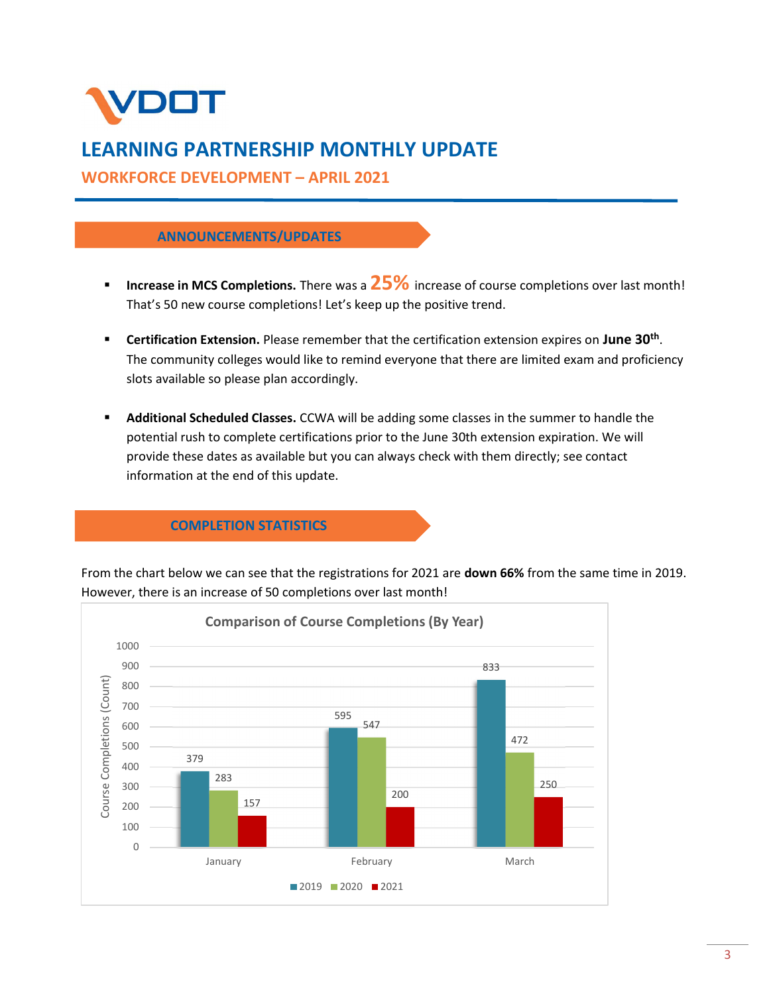

# LEARNING PARTNERSHIP MONTHLY UPDATE

WORKFORCE DEVELOPMENT – APRIL 2021

# ANNOUNCEMENTS/UPDATES

- Increase in MCS Completions. There was a  $25\%$  increase of course completions over last month! That's 50 new course completions! Let's keep up the positive trend.
- **Certification Extension.** Please remember that the certification extension expires on June 30<sup>th</sup>. The community colleges would like to remind everyone that there are limited exam and proficiency slots available so please plan accordingly.
- **Additional Scheduled Classes.** CCWA will be adding some classes in the summer to handle the potential rush to complete certifications prior to the June 30th extension expiration. We will provide these dates as available but you can always check with them directly; see contact information at the end of this update.

# COMPLETION STATISTICS

From the chart below we can see that the registrations for 2021 are down 66% from the same time in 2019. However, there is an increase of 50 completions over last month!

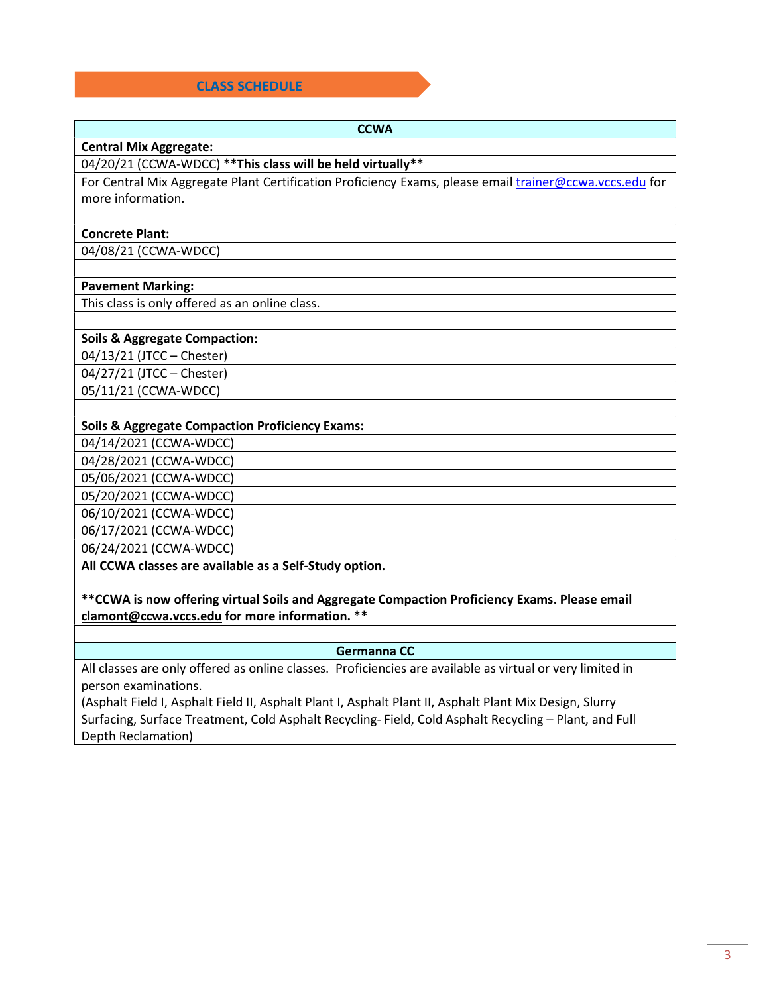# CLASS SCHEDULE

| <b>CCWA</b>                                                                                             |  |  |  |
|---------------------------------------------------------------------------------------------------------|--|--|--|
| <b>Central Mix Aggregate:</b>                                                                           |  |  |  |
| 04/20/21 (CCWA-WDCC) ** This class will be held virtually **                                            |  |  |  |
| For Central Mix Aggregate Plant Certification Proficiency Exams, please email trainer@ccwa.vccs.edu for |  |  |  |
| more information.                                                                                       |  |  |  |
|                                                                                                         |  |  |  |
| <b>Concrete Plant:</b>                                                                                  |  |  |  |
| 04/08/21 (CCWA-WDCC)                                                                                    |  |  |  |
|                                                                                                         |  |  |  |
| <b>Pavement Marking:</b>                                                                                |  |  |  |
| This class is only offered as an online class.                                                          |  |  |  |
|                                                                                                         |  |  |  |

## Soils & Aggregate Compaction:

04/13/21 (JTCC – Chester) 04/27/21 (JTCC – Chester) 05/11/21 (CCWA-WDCC)

## Soils & Aggregate Compaction Proficiency Exams:

04/14/2021 (CCWA-WDCC)

04/28/2021 (CCWA-WDCC)

05/06/2021 (CCWA-WDCC)

05/20/2021 (CCWA-WDCC)

06/10/2021 (CCWA-WDCC)

06/17/2021 (CCWA-WDCC)

06/24/2021 (CCWA-WDCC)

All CCWA classes are available as a Self-Study option.

\*\*CCWA is now offering virtual Soils and Aggregate Compaction Proficiency Exams. Please email clamont@ccwa.vccs.edu for more information. \*\*

# Germanna CC

All classes are only offered as online classes. Proficiencies are available as virtual or very limited in person examinations.

(Asphalt Field I, Asphalt Field II, Asphalt Plant I, Asphalt Plant II, Asphalt Plant Mix Design, Slurry Surfacing, Surface Treatment, Cold Asphalt Recycling- Field, Cold Asphalt Recycling – Plant, and Full Depth Reclamation)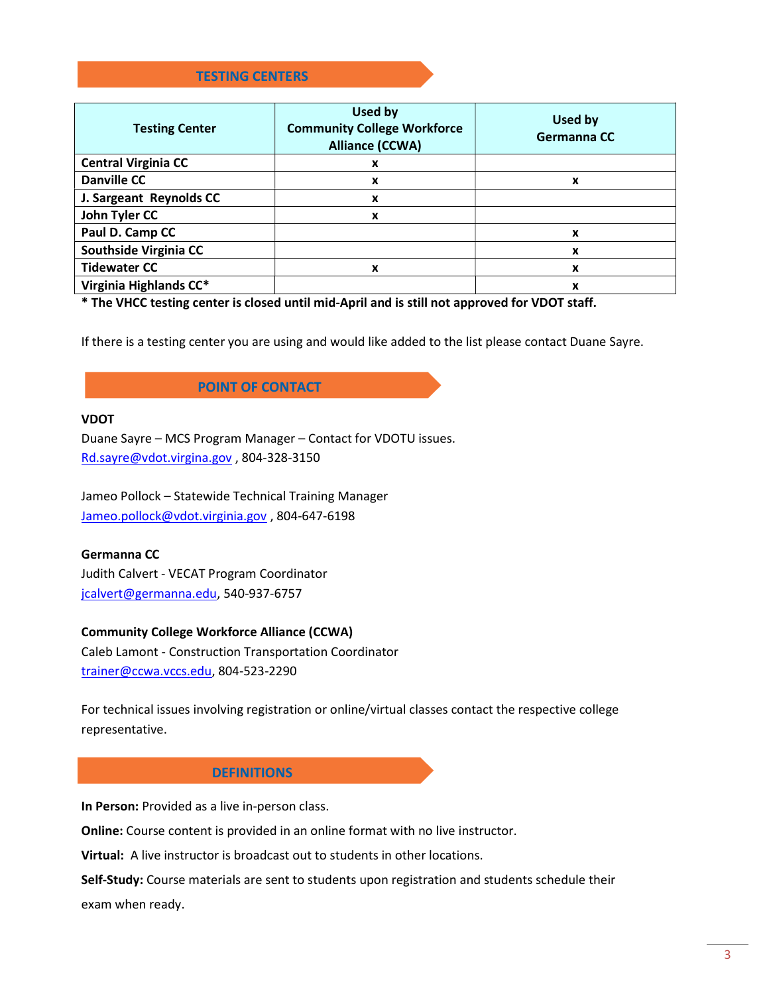# TESTING CENTERS

| <b>Testing Center</b>      | Used by<br><b>Community College Workforce</b><br><b>Alliance (CCWA)</b> | Used by<br>Germanna CC |
|----------------------------|-------------------------------------------------------------------------|------------------------|
| <b>Central Virginia CC</b> | x                                                                       |                        |
| <b>Danville CC</b>         | X                                                                       | x                      |
| J. Sargeant Reynolds CC    | x                                                                       |                        |
| John Tyler CC              | X                                                                       |                        |
| Paul D. Camp CC            |                                                                         | x                      |
| Southside Virginia CC      |                                                                         | x                      |
| <b>Tidewater CC</b>        | X                                                                       | X                      |
| Virginia Highlands CC*     |                                                                         | x                      |

\* The VHCC testing center is closed until mid-April and is still not approved for VDOT staff.

If there is a testing center you are using and would like added to the list please contact Duane Sayre.

# POINT OF CONTACT

#### VDOT

Duane Sayre – MCS Program Manager – Contact for VDOTU issues. Rd.sayre@vdot.virgina.gov , 804-328-3150

Jameo Pollock – Statewide Technical Training Manager Jameo.pollock@vdot.virginia.gov , 804-647-6198

# Germanna CC

Judith Calvert - VECAT Program Coordinator jcalvert@germanna.edu, 540-937-6757

#### Community College Workforce Alliance (CCWA)

Caleb Lamont - Construction Transportation Coordinator trainer@ccwa.vccs.edu, 804-523-2290

For technical issues involving registration or online/virtual classes contact the respective college representative.

# **DEFINITIONS**

In Person: Provided as a live in-person class.

Online: Course content is provided in an online format with no live instructor.

Virtual: A live instructor is broadcast out to students in other locations.

Self-Study: Course materials are sent to students upon registration and students schedule their exam when ready.